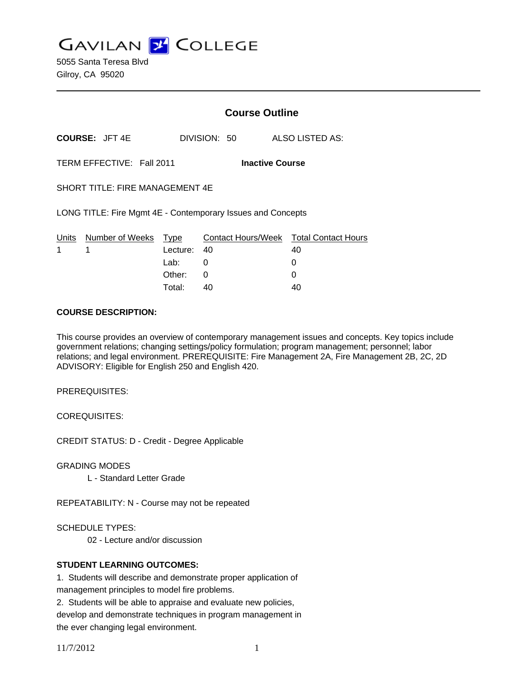**GAVILAN J COLLEGE** 

5055 Santa Teresa Blvd Gilroy, CA 95020

|                                                             |                            |             | <b>Course Outline</b>  |                                        |  |  |
|-------------------------------------------------------------|----------------------------|-------------|------------------------|----------------------------------------|--|--|
|                                                             | <b>COURSE: JFT 4E</b>      |             | DIVISION: 50           | ALSO LISTED AS:                        |  |  |
|                                                             | TERM EFFECTIVE: Fall 2011  |             | <b>Inactive Course</b> |                                        |  |  |
| <b>SHORT TITLE: FIRE MANAGEMENT 4E</b>                      |                            |             |                        |                                        |  |  |
| LONG TITLE: Fire Mgmt 4E - Contemporary Issues and Concepts |                            |             |                        |                                        |  |  |
|                                                             | Units Number of Weeks Type |             |                        | Contact Hours/Week Total Contact Hours |  |  |
| 1                                                           | 1                          | Lecture: 40 |                        | 40                                     |  |  |
|                                                             |                            | Lab: ___    | 0                      | 0                                      |  |  |
|                                                             |                            | Other:      | $\Omega$               | O                                      |  |  |
|                                                             |                            | Total:      | 40                     | 40                                     |  |  |

#### **COURSE DESCRIPTION:**

This course provides an overview of contemporary management issues and concepts. Key topics include government relations; changing settings/policy formulation; program management; personnel; labor relations; and legal environment. PREREQUISITE: Fire Management 2A, Fire Management 2B, 2C, 2D ADVISORY: Eligible for English 250 and English 420.

PREREQUISITES:

COREQUISITES:

CREDIT STATUS: D - Credit - Degree Applicable

GRADING MODES

L - Standard Letter Grade

REPEATABILITY: N - Course may not be repeated

SCHEDULE TYPES:

02 - Lecture and/or discussion

## **STUDENT LEARNING OUTCOMES:**

1. Students will describe and demonstrate proper application of management principles to model fire problems.

2. Students will be able to appraise and evaluate new policies, develop and demonstrate techniques in program management in the ever changing legal environment.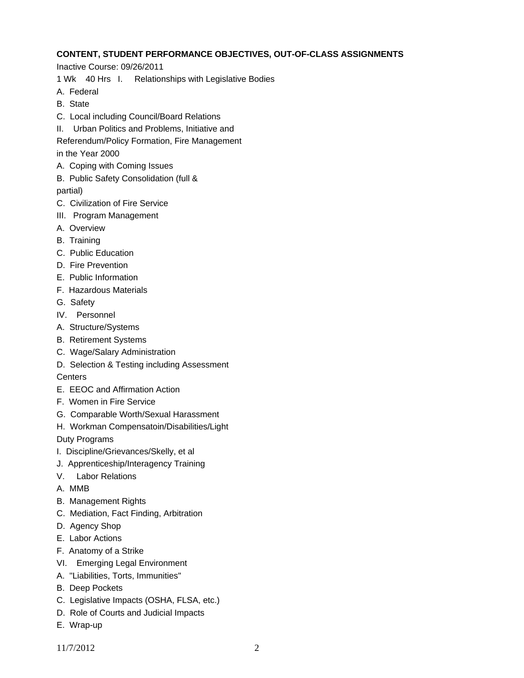# **CONTENT, STUDENT PERFORMANCE OBJECTIVES, OUT-OF-CLASS ASSIGNMENTS**

Inactive Course: 09/26/2011

1 Wk 40 Hrs I. Relationships with Legislative Bodies

- A. Federal
- B. State
- C. Local including Council/Board Relations
- II. Urban Politics and Problems, Initiative and

Referendum/Policy Formation, Fire Management

in the Year 2000

- A. Coping with Coming Issues
- B. Public Safety Consolidation (full & partial)
- C. Civilization of Fire Service
- III. Program Management
- A. Overview
- B. Training
- C. Public Education
- D. Fire Prevention
- E. Public Information
- F. Hazardous Materials
- G. Safety
- IV. Personnel
- A. Structure/Systems
- B. Retirement Systems
- C. Wage/Salary Administration
- D. Selection & Testing including Assessment

**Centers** 

- E. EEOC and Affirmation Action
- F. Women in Fire Service
- G. Comparable Worth/Sexual Harassment
- H. Workman Compensatoin/Disabilities/Light

Duty Programs

- I. Discipline/Grievances/Skelly, et al
- J. Apprenticeship/Interagency Training
- V. Labor Relations
- A. MMB
- B. Management Rights
- C. Mediation, Fact Finding, Arbitration
- D. Agency Shop
- E. Labor Actions
- F. Anatomy of a Strike
- VI. Emerging Legal Environment
- A. "Liabilities, Torts, Immunities"
- B. Deep Pockets
- C. Legislative Impacts (OSHA, FLSA, etc.)
- D. Role of Courts and Judicial Impacts
- E. Wrap-up